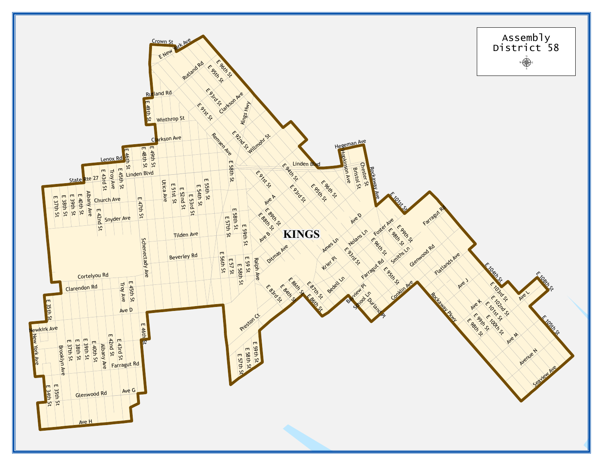